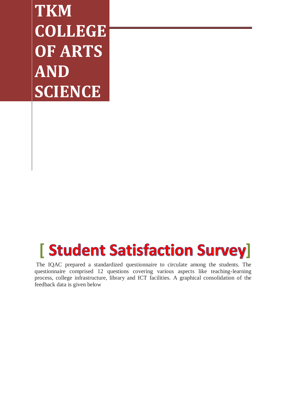**TKM COLLEGE OF ARTS AND SCIENCE** 

## **[** Student Satisfaction Survey]

The IQAC prepared a standardized questionnaire to circulate among the students. The questionnaire comprised 12 questions covering various aspects like teaching-learning process, college infrastructure, library and ICT facilities. A graphical consolidation of the feedback data is given below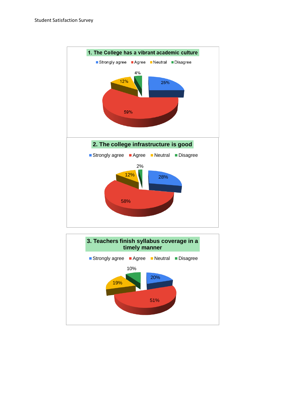

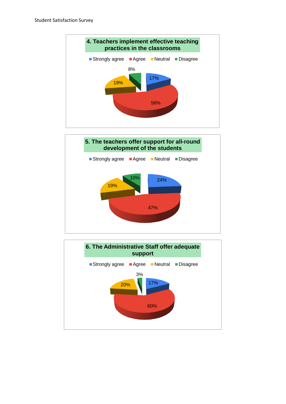



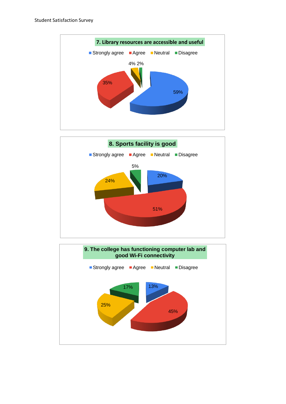